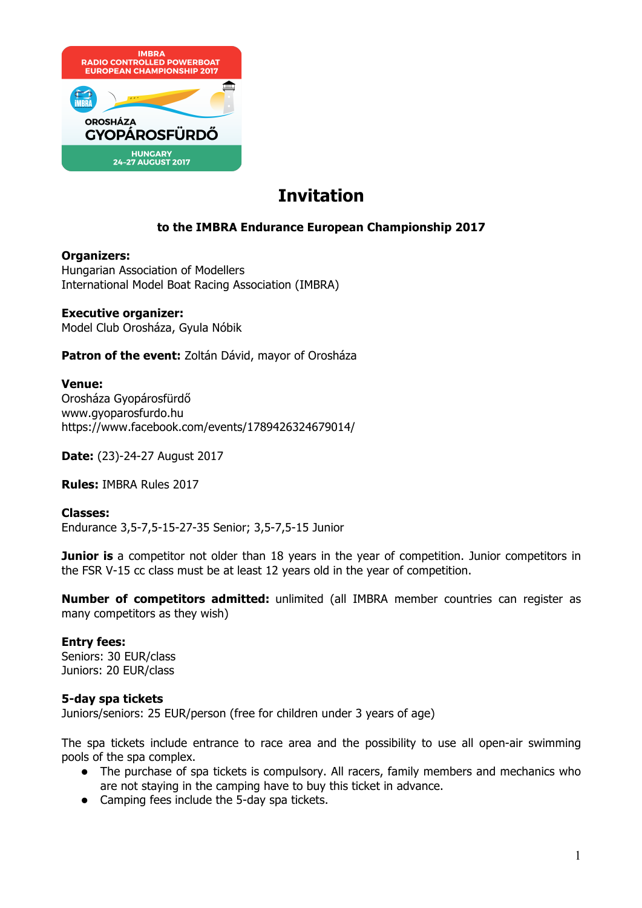

# **Invitation**

# **to the IMBRA Endurance European Championship 2017**

#### **Organizers:**

Hungarian Association of Modellers International Model Boat Racing Association (IMBRA)

#### **Executive organizer:**

Model Club Orosháza, Gyula Nóbik

Patron of the event: Zoltán Dávid, mayor of Orosháza

#### **Venue:**

Orosháza Gyopárosfürdő www.gyoparosfurdo.hu https://www.facebook.com/events/1789426324679014/

**Date:** (23)-24-27 August 2017

**Rules:** IMBRA Rules 2017

**Classes:** Endurance 3,5-7,5-15-27-35 Senior; 3,5-7,5-15 Junior

**Junior is** a competitor not older than 18 years in the year of competition. Junior competitors in the FSR V-15 cc class must be at least 12 years old in the year of competition.

**Number of competitors admitted:** unlimited (all IMBRA member countries can register as many competitors as they wish)

# **Entry fees:**

Seniors: 30 EUR/class Juniors: 20 EUR/class

#### **5-day spa tickets**

Juniors/seniors: 25 EUR/person (free for children under 3 years of age)

The spa tickets include entrance to race area and the possibility to use all open-air swimming pools of the spa complex.

- The purchase of spa tickets is compulsory. All racers, family members and mechanics who are not staying in the camping have to buy this ticket in advance.
- $\bullet$  Camping fees include the 5-day spa tickets.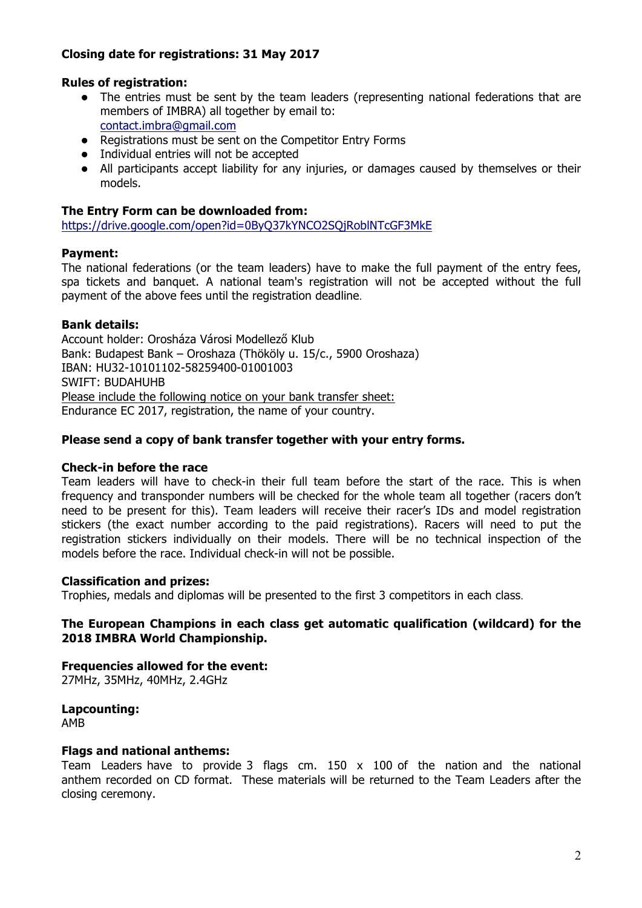# **Closing date for registrations: 31 May 2017**

# **Rules of registration:**

- The entries must be sent by the team leaders (representing national federations that are members of IMBRA) all together by email to: contact.imbra@gmail.com
- $\bullet$  Registrations must be sent on the Competitor Entry Forms
- Individual entries will not be accepted
- All participants accept liability for any injuries, or damages caused by themselves or their models.

## **The Entry Form can be downloaded from:**

https://drive.google.com/open?id=0ByQ37kYNCO2SQjRoblNTcGF3MkE

# **Payment:**

The national federations (or the team leaders) have to make the full payment of the entry fees, spa tickets and banquet. A national team's registration will not be accepted without the full payment of the above fees until the registration deadline.

#### **Bank details:**

Account holder: Orosháza Városi Modellező Klub Bank: Budapest Bank – Oroshaza (Thököly u. 15/c., 5900 Oroshaza) IBAN: HU32-10101102-58259400-01001003 SWIFT: BUDAHUHB Please include the following notice on your bank transfer sheet: Endurance EC 2017, registration, the name of your country.

#### **Please send a copy of bank transfer together with your entry forms.**

#### **Check-in before the race**

Team leaders will have to check-in their full team before the start of the race. This is when frequency and transponder numbers will be checked for the whole team all together (racers don't need to be present for this). Team leaders will receive their racer's IDs and model registration stickers (the exact number according to the paid registrations). Racers will need to put the registration stickers individually on their models. There will be no technical inspection of the models before the race. Individual check-in will not be possible.

#### **Classification and prizes:**

Trophies, medals and diplomas will be presented to the first 3 competitors in each class.

#### **The European Champions in each class get automatic qualification (wildcard) for the 2018 IMBRA World Championship.**

**Frequencies allowed for the event:** 27MHz, 35MHz, 40MHz, 2.4GHz

**Lapcounting:** AMB

# **Flags and national anthems:**

Team Leaders have to provide 3 flags cm.  $150 \times 100$  of the nation and the national anthem recorded on CD format. These materials will be returned to the Team Leaders after the closing ceremony.